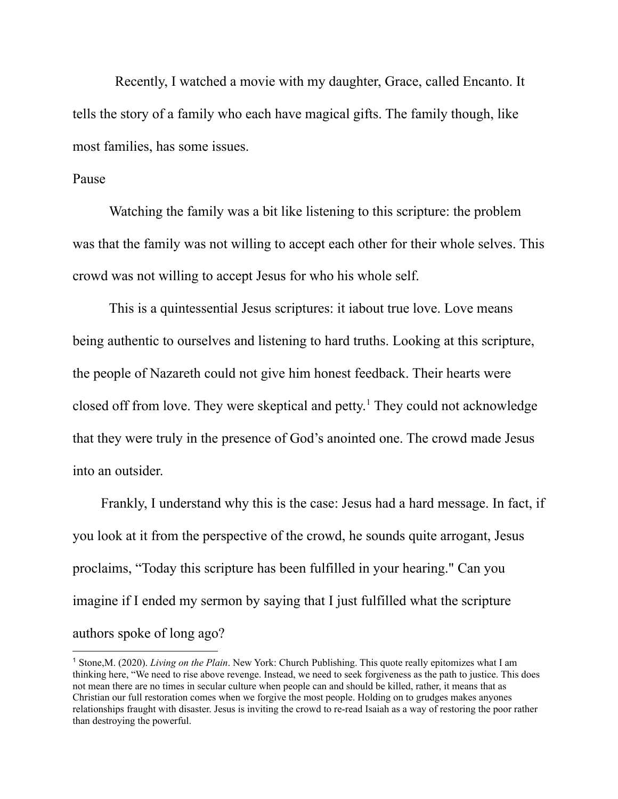Recently, I watched a movie with my daughter, Grace, called Encanto. It tells the story of a family who each have magical gifts. The family though, like most families, has some issues.

## Pause

Watching the family was a bit like listening to this scripture: the problem was that the family was not willing to accept each other for their whole selves. This crowd was not willing to accept Jesus for who his whole self.

This is a quintessential Jesus scriptures: it iabout true love. Love means being authentic to ourselves and listening to hard truths. Looking at this scripture, the people of Nazareth could not give him honest feedback. Their hearts were closed off from love. They were skeptical and petty. <sup>1</sup> They could not acknowledge that they were truly in the presence of God's anointed one. The crowd made Jesus into an outsider.

Frankly, I understand why this is the case: Jesus had a hard message. In fact, if you look at it from the perspective of the crowd, he sounds quite arrogant, Jesus proclaims, "Today this scripture has been fulfilled in your hearing." Can you imagine if I ended my sermon by saying that I just fulfilled what the scripture authors spoke of long ago?

<sup>1</sup> Stone,M. (2020). *Living on the Plain*. New York: Church Publishing. This quote really epitomizes what I am thinking here, "We need to rise above revenge. Instead, we need to seek forgiveness as the path to justice. This does not mean there are no times in secular culture when people can and should be killed, rather, it means that as Christian our full restoration comes when we forgive the most people. Holding on to grudges makes anyones relationships fraught with disaster. Jesus is inviting the crowd to re-read Isaiah as a way of restoring the poor rather than destroying the powerful.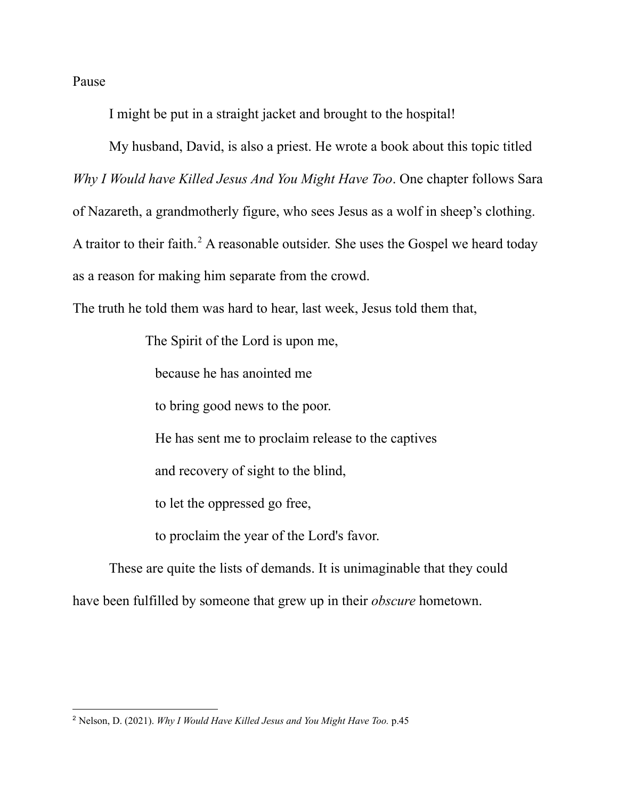Pause

I might be put in a straight jacket and brought to the hospital!

My husband, David, is also a priest. He wrote a book about this topic titled *Why I Would have Killed Jesus And You Might Have Too*. One chapter follows Sara of Nazareth, a grandmotherly figure, who sees Jesus as a wolf in sheep's clothing. A traitor to their faith. <sup>2</sup> A reasonable outsider. She uses the Gospel we heard today as a reason for making him separate from the crowd.

The truth he told them was hard to hear, last week, Jesus told them that,

The Spirit of the Lord is upon me,

because he has anointed me

to bring good news to the poor.

He has sent me to proclaim release to the captives

and recovery of sight to the blind,

to let the oppressed go free,

to proclaim the year of the Lord's favor.

These are quite the lists of demands. It is unimaginable that they could have been fulfilled by someone that grew up in their *obscure* hometown.

<sup>2</sup> Nelson, D. (2021). *Why I Would Have Killed Jesus and You Might Have Too.* p.45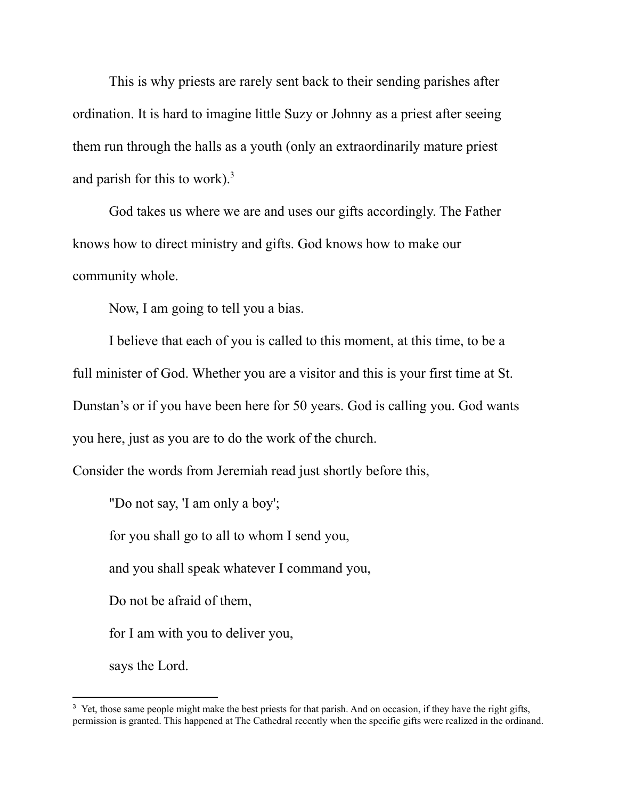This is why priests are rarely sent back to their sending parishes after ordination. It is hard to imagine little Suzy or Johnny as a priest after seeing them run through the halls as a youth (only an extraordinarily mature priest and parish for this to work). $3$ 

God takes us where we are and uses our gifts accordingly. The Father knows how to direct ministry and gifts. God knows how to make our community whole.

Now, I am going to tell you a bias.

I believe that each of you is called to this moment, at this time, to be a full minister of God. Whether you are a visitor and this is your first time at St. Dunstan's or if you have been here for 50 years. God is calling you. God wants you here, just as you are to do the work of the church.

Consider the words from Jeremiah read just shortly before this,

"Do not say, 'I am only a boy';

for you shall go to all to whom I send you,

and you shall speak whatever I command you,

Do not be afraid of them,

for I am with you to deliver you,

says the Lord.

<sup>&</sup>lt;sup>3</sup> Yet, those same people might make the best priests for that parish. And on occasion, if they have the right gifts, permission is granted. This happened at The Cathedral recently when the specific gifts were realized in the ordinand.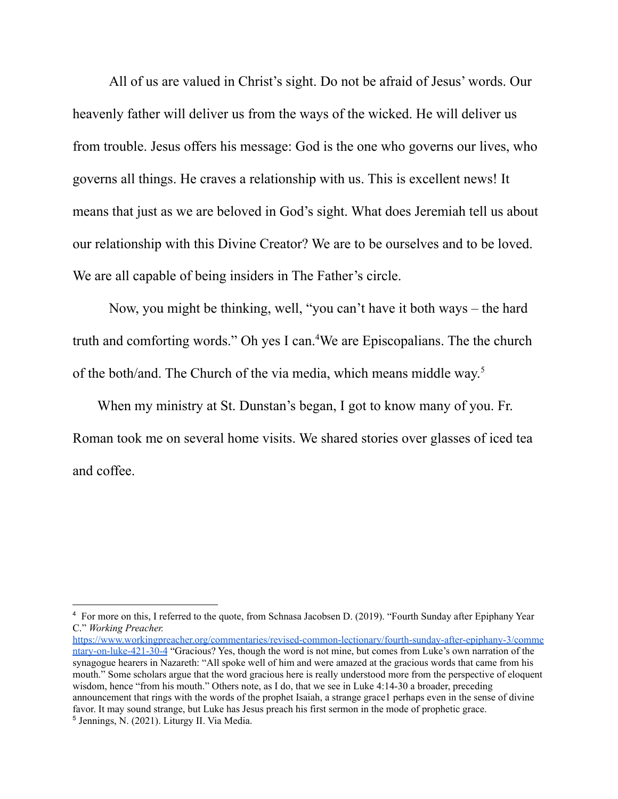All of us are valued in Christ's sight. Do not be afraid of Jesus' words. Our heavenly father will deliver us from the ways of the wicked. He will deliver us from trouble. Jesus offers his message: God is the one who governs our lives, who governs all things. He craves a relationship with us. This is excellent news! It means that just as we are beloved in God's sight. What does Jeremiah tell us about our relationship with this Divine Creator? We are to be ourselves and to be loved. We are all capable of being insiders in The Father's circle.

Now, you might be thinking, well, "you can't have it both ways – the hard truth and comforting words." Oh yes I can. <sup>4</sup>We are Episcopalians. The the church of the both/and. The Church of the via media, which means middle way. 5

When my ministry at St. Dunstan's began, I got to know many of you. Fr. Roman took me on several home visits. We shared stories over glasses of iced tea and coffee.

<sup>5</sup> Jennings, N. (2021). Liturgy II. Via Media. [https://www.workingpreacher.org/commentaries/revised-common-lectionary/fourth-sunday-after-epiphany-3/comme](https://www.workingpreacher.org/commentaries/revised-common-lectionary/fourth-sunday-after-epiphany-3/commentary-on-luke-421-30-4) [ntary-on-luke-421-30-4](https://www.workingpreacher.org/commentaries/revised-common-lectionary/fourth-sunday-after-epiphany-3/commentary-on-luke-421-30-4) "Gracious? Yes, though the word is not mine, but comes from Luke's own narration of the synagogue hearers in Nazareth: "All spoke well of him and were amazed at the gracious words that came from his mouth." Some scholars argue that the word gracious here is really understood more from the perspective of eloquent wisdom, hence "from his mouth." Others note, as I do, that we see in Luke 4:14-30 a broader, preceding announcement that rings with the words of the prophet Isaiah, a strange grace1 perhaps even in the sense of divine favor. It may sound strange, but Luke has Jesus preach his first sermon in the mode of prophetic grace.

<sup>4</sup> For more on this, I referred to the quote, from Schnasa Jacobsen D. (2019). "Fourth Sunday after Epiphany Year C." *Working Preacher[.](https://www.workingpreacher.org/commentaries/revised-common-lectionary/fourth-sunday-after-epiphany-3/commentary-on-luke-421-30-4)*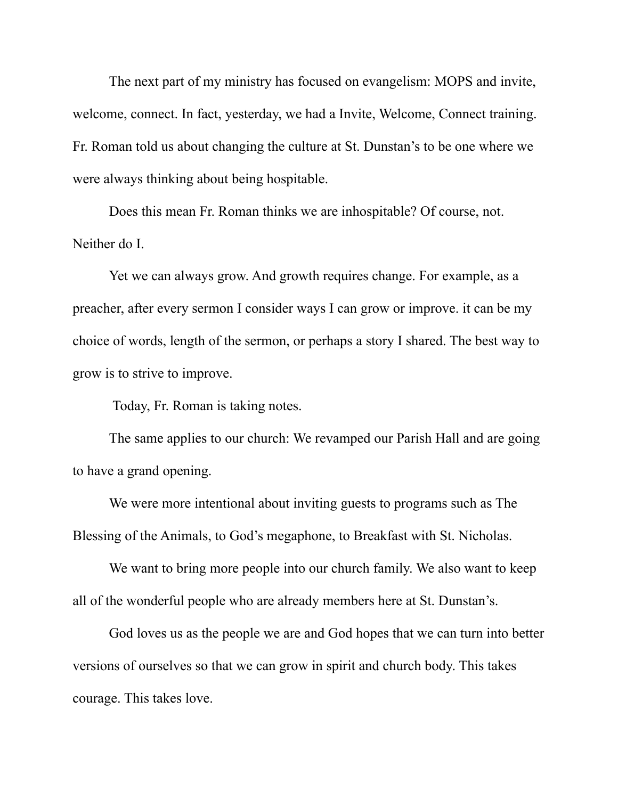The next part of my ministry has focused on evangelism: MOPS and invite, welcome, connect. In fact, yesterday, we had a Invite, Welcome, Connect training. Fr. Roman told us about changing the culture at St. Dunstan's to be one where we were always thinking about being hospitable.

Does this mean Fr. Roman thinks we are inhospitable? Of course, not. Neither do I.

Yet we can always grow. And growth requires change. For example, as a preacher, after every sermon I consider ways I can grow or improve. it can be my choice of words, length of the sermon, or perhaps a story I shared. The best way to grow is to strive to improve.

Today, Fr. Roman is taking notes.

The same applies to our church: We revamped our Parish Hall and are going to have a grand opening.

We were more intentional about inviting guests to programs such as The Blessing of the Animals, to God's megaphone, to Breakfast with St. Nicholas.

We want to bring more people into our church family. We also want to keep all of the wonderful people who are already members here at St. Dunstan's.

God loves us as the people we are and God hopes that we can turn into better versions of ourselves so that we can grow in spirit and church body. This takes courage. This takes love.